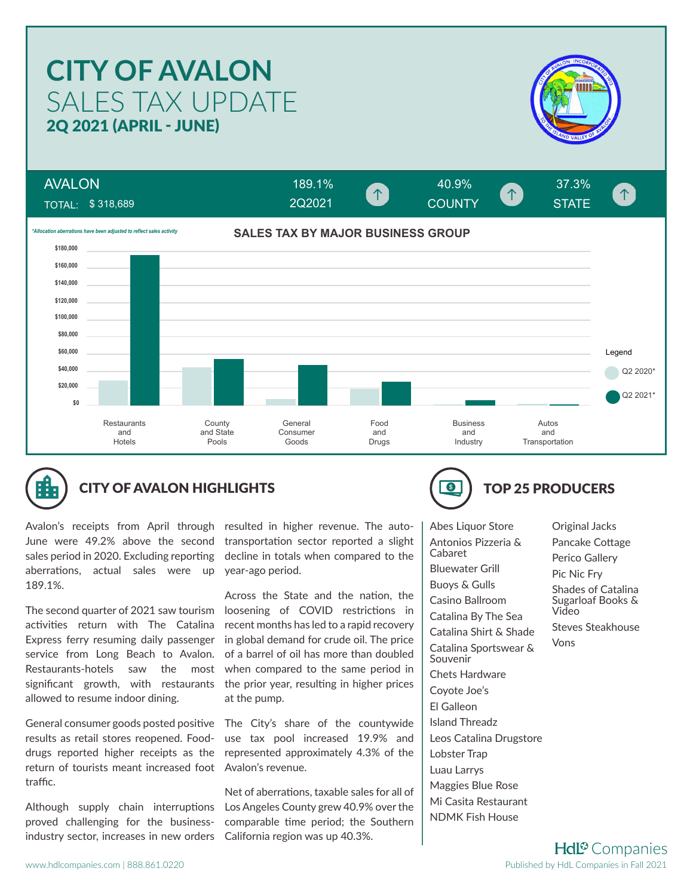# SALES TAX UPDATE **CITY OF AVALON** 2Q 2021 (APRIL - JUNE)



 $\uparrow$ 

**\$160,000 \$180,000 SALES TAX BY MAJOR BUSINESS GROUP** *\*Allocation aberrations have been adjusted to reflect sales activity* TOTAL: \$ 318,689 189.1% 40.9% 37.3% COUNTY STATE AVALON 2Q2021





## CITY OF AVALON HIGHLIGHTS **TOP 25 PRODUCERS**

Avalon's receipts from April through resulted in higher revenue. The auto-June were 49.2% above the second sales period in 2020. Excluding reporting aberrations, actual sales were up 189.1%.

The second quarter of 2021 saw tourism activities return with The Catalina Express ferry resuming daily passenger service from Long Beach to Avalon. Restaurants-hotels saw the most significant growth, with restaurants allowed to resume indoor dining.

General consumer goods posted positive The City's share of the countywide results as retail stores reopened. Fooddrugs reported higher receipts as the return of tourists meant increased foot Avalon's revenue. traffic.

Although supply chain interruptions proved challenging for the businessindustry sector, increases in new orders

transportation sector reported a slight decline in totals when compared to the year-ago period.

Across the State and the nation, the loosening of COVID restrictions in recent months has led to a rapid recovery in global demand for crude oil. The price of a barrel of oil has more than doubled when compared to the same period in the prior year, resulting in higher prices at the pump.

use tax pool increased 19.9% and represented approximately 4.3% of the

Net of aberrations, taxable sales for all of Los Angeles County grew 40.9% over the comparable time period; the Southern California region was up 40.3%.



Abes Liquor Store Antonios Pizzeria & Cabaret Bluewater Grill Buoys & Gulls Casino Ballroom Catalina By The Sea Catalina Shirt & Shade Catalina Sportswear & Souvenir Chets Hardware Coyote Joe's El Galleon Island Threadz Leos Catalina Drugstore Lobster Trap Luau Larrys Maggies Blue Rose Mi Casita Restaurant NDMK Fish House

Original Jacks Pancake Cottage Perico Gallery Pic Nic Fry Shades of Catalina Sugarloaf Books & Video Steves Steakhouse Vons

**Hdl<sup>®</sup>** Companies Published by HdL Companies in Fall 2021